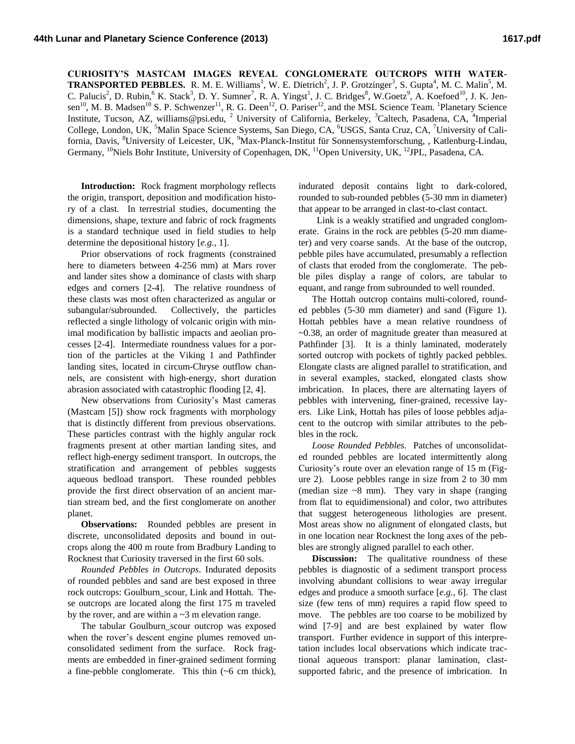**CURIOSITY'S MASTCAM IMAGES REVEAL CONGLOMERATE OUTCROPS WITH WATER-TRANSPORTED PEBBLES.** R. M. E. Williams<sup>1</sup>, W. E. Dietrich<sup>2</sup>, J. P. Grotzinger<sup>3</sup>, S. Gupta<sup>4</sup>, M. C. Malin<sup>5</sup>, M. C. Palucis<sup>2</sup>, D. Rubin, K. Stack<sup>3</sup>, D. Y. Sumner<sup>7</sup>, R. A. Yingst<sup>1</sup>, J. C. Bridges<sup>8</sup>, W.Goetz<sup>9</sup>, A. Koefoed<sup>10</sup>, J. K. Jensen<sup>10</sup>, M. B. Madsen<sup>10</sup> S. P. Schwenzer<sup>11</sup>, R. G. Deen<sup>12</sup>, O. Pariser<sup>12</sup>, and the MSL Science Team. <sup>1</sup>Planetary Science Institute, Tucson, AZ, williams@psi.edu, <sup>2</sup> University of California, Berkeley, <sup>3</sup>Caltech, Pasadena, CA, <sup>4</sup>Imperial College, London, UK, <sup>5</sup>Malin Space Science Systems, San Diego, CA, <sup>6</sup>USGS, Santa Cruz, CA, <sup>7</sup>University of California, Davis, <sup>8</sup>University of Leicester, UK, <sup>9</sup>Max-Planck-Institut für Sonnensystemforschung, , Katlenburg-Lindau, Germany, <sup>10</sup>Niels Bohr Institute, University of Copenhagen, DK, <sup>11</sup>Open University, UK, <sup>12</sup>JPL, Pasadena, CA.

**Introduction:** Rock fragment morphology reflects the origin, transport, deposition and modification history of a clast. In terrestrial studies, documenting the dimensions, shape, texture and fabric of rock fragments is a standard technique used in field studies to help determine the depositional history [*e.g.,* 1].

Prior observations of rock fragments (constrained here to diameters between 4-256 mm) at Mars rover and lander sites show a dominance of clasts with sharp edges and corners [2-4]. The relative roundness of these clasts was most often characterized as angular or subangular/subrounded. Collectively, the particles reflected a single lithology of volcanic origin with minimal modification by ballistic impacts and aeolian processes [2-4]. Intermediate roundness values for a portion of the particles at the Viking 1 and Pathfinder landing sites, located in circum-Chryse outflow channels, are consistent with high-energy, short duration abrasion associated with catastrophic flooding [2, 4].

New observations from Curiosity's Mast cameras (Mastcam [5]) show rock fragments with morphology that is distinctly different from previous observations. These particles contrast with the highly angular rock fragments present at other martian landing sites, and reflect high-energy sediment transport. In outcrops, the stratification and arrangement of pebbles suggests aqueous bedload transport. These rounded pebbles provide the first direct observation of an ancient martian stream bed, and the first conglomerate on another planet.

**Observations:** Rounded pebbles are present in discrete, unconsolidated deposits and bound in outcrops along the 400 m route from Bradbury Landing to Rocknest that Curiosity traversed in the first 60 sols.

*Rounded Pebbles in Outcrops*. Indurated deposits of rounded pebbles and sand are best exposed in three rock outcrops: Goulburn scour, Link and Hottah. These outcrops are located along the first 175 m traveled by the rover, and are within a  $\sim$ 3 m elevation range.

The tabular Goulburn\_scour outcrop was exposed when the rover's descent engine plumes removed unconsolidated sediment from the surface. Rock fragments are embedded in finer-grained sediment forming a fine-pebble conglomerate. This thin (~6 cm thick), indurated deposit contains light to dark-colored, rounded to sub-rounded pebbles (5-30 mm in diameter) that appear to be arranged in clast-to-clast contact.

 Link is a weakly stratified and ungraded conglomerate. Grains in the rock are pebbles (5-20 mm diameter) and very coarse sands. At the base of the outcrop, pebble piles have accumulated, presumably a reflection of clasts that eroded from the conglomerate. The pebble piles display a range of colors, are tabular to equant, and range from subrounded to well rounded.

The Hottah outcrop contains multi-colored, rounded pebbles (5-30 mm diameter) and sand (Figure 1). Hottah pebbles have a mean relative roundness of ~0.38, an order of magnitude greater than measured at Pathfinder [3]. It is a thinly laminated, moderately sorted outcrop with pockets of tightly packed pebbles. Elongate clasts are aligned parallel to stratification, and in several examples, stacked, elongated clasts show imbrication. In places, there are alternating layers of pebbles with intervening, finer-grained, recessive layers. Like Link, Hottah has piles of loose pebbles adjacent to the outcrop with similar attributes to the pebbles in the rock.

*Loose Rounded Pebbles.* Patches of unconsolidated rounded pebbles are located intermittently along Curiosity's route over an elevation range of 15 m (Figure 2). Loose pebbles range in size from 2 to 30 mm (median size  $\sim$ 8 mm). They vary in shape (ranging from flat to equidimensional) and color, two attributes that suggest heterogeneous lithologies are present. Most areas show no alignment of elongated clasts, but in one location near Rocknest the long axes of the pebbles are strongly aligned parallel to each other.

**Discussion:** The qualitative roundness of these pebbles is diagnostic of a sediment transport process involving abundant collisions to wear away irregular edges and produce a smooth surface [*e.g.,* 6]. The clast size (few tens of mm) requires a rapid flow speed to move. The pebbles are too coarse to be mobilized by wind [7-9] and are best explained by water flow transport. Further evidence in support of this interpretation includes local observations which indicate tractional aqueous transport: planar lamination, clastsupported fabric, and the presence of imbrication. In